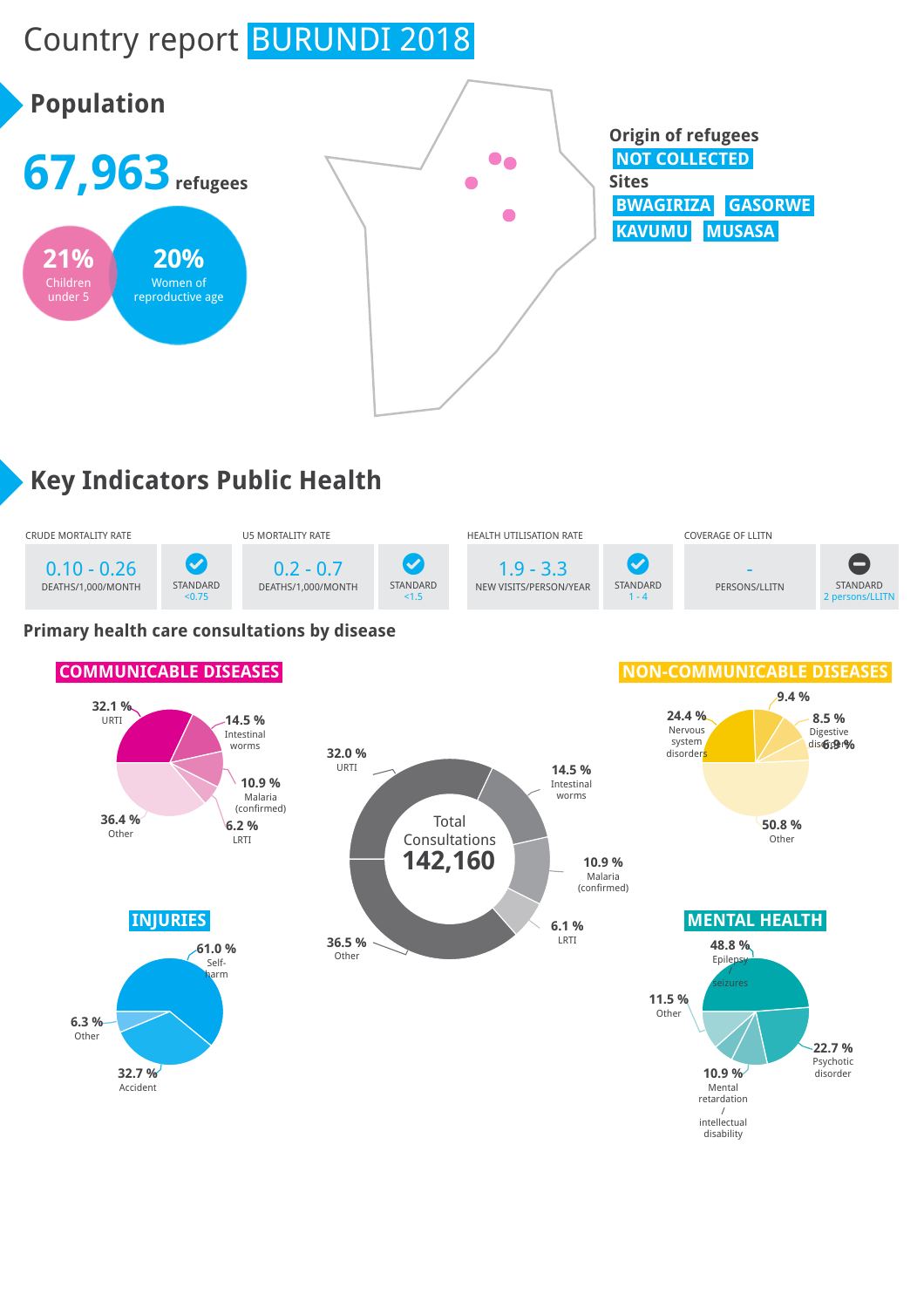# Country report BURUNDI 2018



# **Key Indicators Public Health**



### **Primary health care consultations by disease**

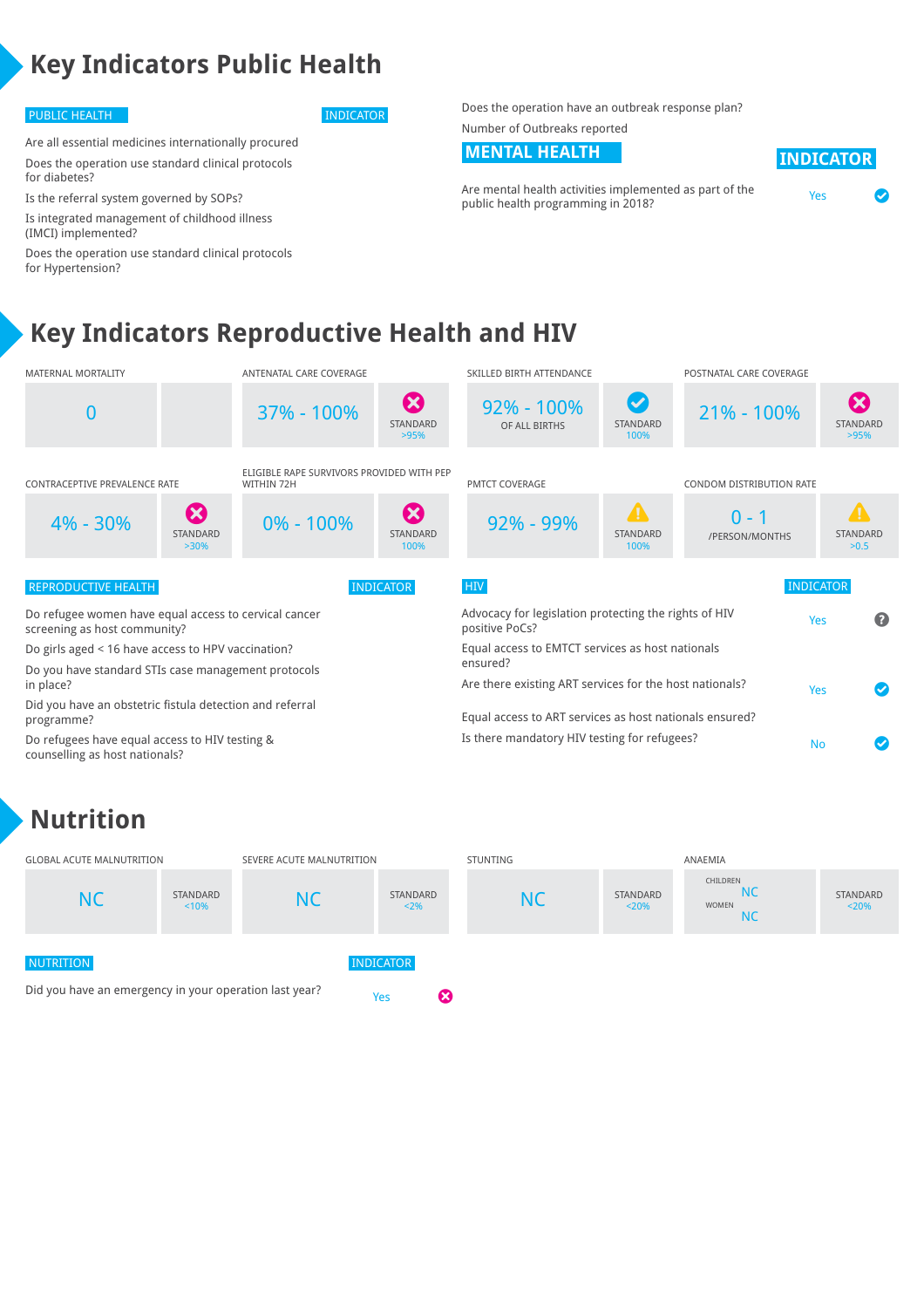## **Key Indicators Public Health**

### PUBLIC HEALTH INDICATOR

Are all essential medicines internationally procured Does the operation use standard clinical protocols for diabetes?

Is the referral system governed by SOPs? Is integrated management of childhood illness (IMCI) implemented?

Does the operation use standard clinical protocols for Hypertension?

Does the operation have an outbreak response plan? Number of Outbreaks reported

### **MENTAL HEALTH INDICATOR**

Are mental health activities implemented as part of the Are mental health activities implemented as part of the vessely be vessely all the version of the vessely and the<br>public health programming in 2018?

| IN B | ונט | TIND. |  |
|------|-----|-------|--|
|      |     |       |  |

**Key Indicators Reproductive Health and HIV**



### **Nutrition**